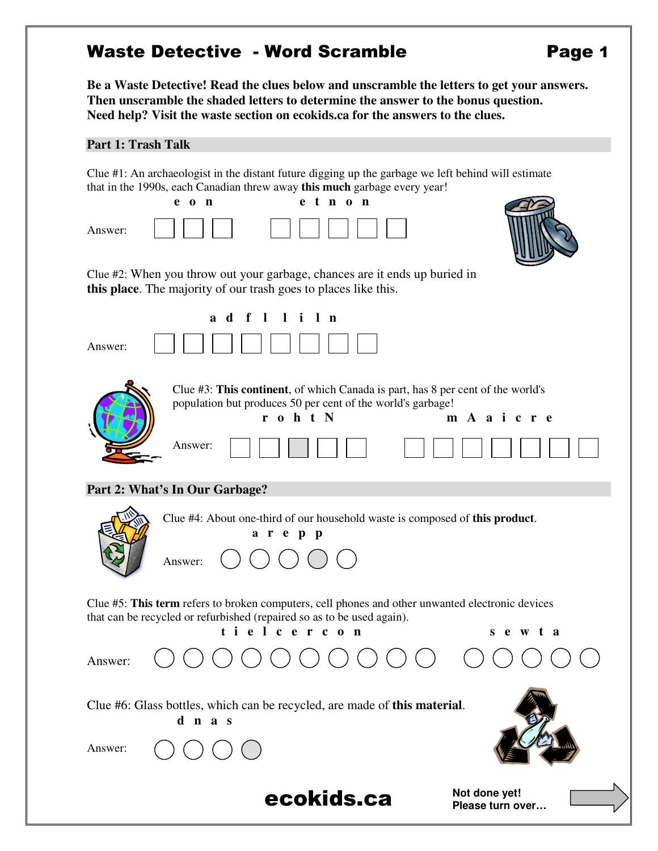## Waste Detective - Word Scramble **Page 1**

**Be a Waste Detective! Read the clues below and unscramble the letters to get your answers. Then unscramble the shaded letters to determine the answer to the bonus question. Need help? Visit the waste section on ecokids.ca for the answers to the clues.** 

#### **Part 1: Trash Talk**

Clue #1: An archaeologist in the distant future digging up the garbage we left behind will estimate that in the 1990s, each Canadian threw away **this much** garbage every year!

| $e$ o n<br>t n o n<br>e<br>Answer:                                                                                                                                                                    |
|-------------------------------------------------------------------------------------------------------------------------------------------------------------------------------------------------------|
| Clue #2: When you throw out your garbage, chances are it ends up buried in<br>this place. The majority of our trash goes to places like this.                                                         |
| i l n<br>$\mathbf f$<br>$\blacksquare$<br>$\blacksquare$<br>a d<br>Answer:                                                                                                                            |
| Clue #3: This continent, of which Canada is part, has 8 per cent of the world's<br>population but produces 50 per cent of the world's garbage!<br>r o h t N<br>m A a i c r e<br>Answer:               |
| Part 2: What's In Our Garbage?                                                                                                                                                                        |
| Clue #4: About one-third of our household waste is composed of this product.<br>arepp<br>Answer:                                                                                                      |
| Clue #5: This term refers to broken computers, cell phones and other unwanted electronic devices<br>that can be recycled or refurbished (repaired so as to be used again).<br>tielcercon<br>s e w t a |
| Answer:                                                                                                                                                                                               |
| Clue #6: Glass bottles, which can be recycled, are made of this material.<br>d n a s<br>Answer:                                                                                                       |
|                                                                                                                                                                                                       |
| Not done yet!<br>ecokids.ca<br>Please turn over                                                                                                                                                       |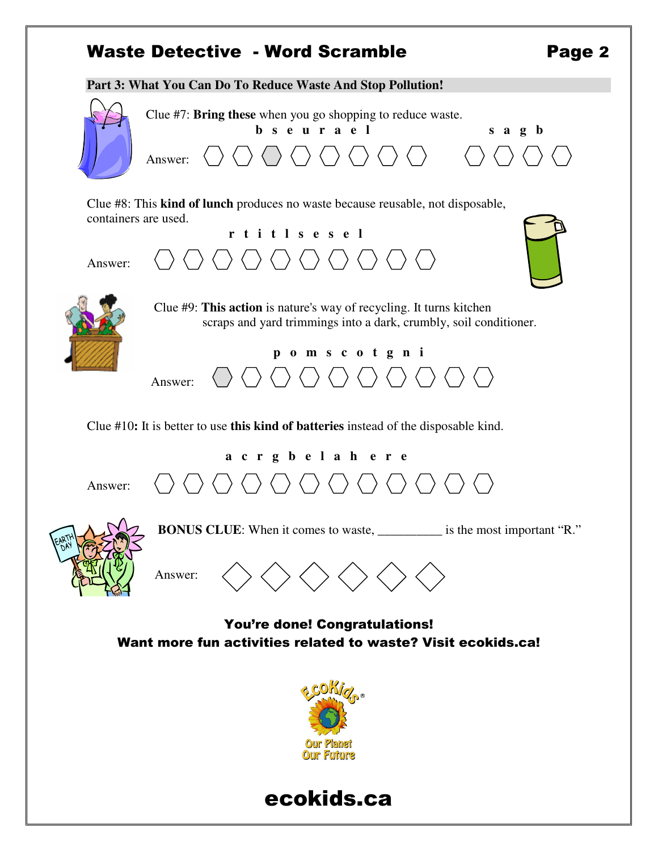# Waste Detective - Word Scramble **Page 2**

**Part 3: What You Can Do To Reduce Waste And Stop Pollution!**  Clue #7: **Bring these** when you go shopping to reduce waste. **b s e u r a e l s a g b** Answer:  $\bigcirc$   $\bigcirc$   $\bigcirc$   $\bigcirc$   $\bigcirc$   $\bigcirc$   $\bigcirc$   $\bigcirc$   $\bigcirc$   $\bigcirc$   $\bigcirc$ Clue #8: This **kind of lunch** produces no waste because reusable, not disposable, containers are used. **r t i t l s e s e l**  Answer: Clue #9: **This action** is nature's way of recycling. It turns kitchen scraps and yard trimmings into a dark, crumbly, soil conditioner.  **p o m s c o t g n i**  Answer: Clue #10**:** It is better to use **this kind of batteries** instead of the disposable kind.  **a c r g b e l a h e r e**  〈 〉〈 〉〈 〉〈 〉〈 〉〈 〉〈 〉〈 〉  $\rightarrow \langle \ \ \rangle$ Answer: **BONUS CLUE:** When it comes to waste, \_\_\_\_\_\_\_\_\_\_\_ is the most important "R." Answer: You're done! Congratulations! Want more fun activities related to waste? Visit ecokids.ca!



# ecokids.ca